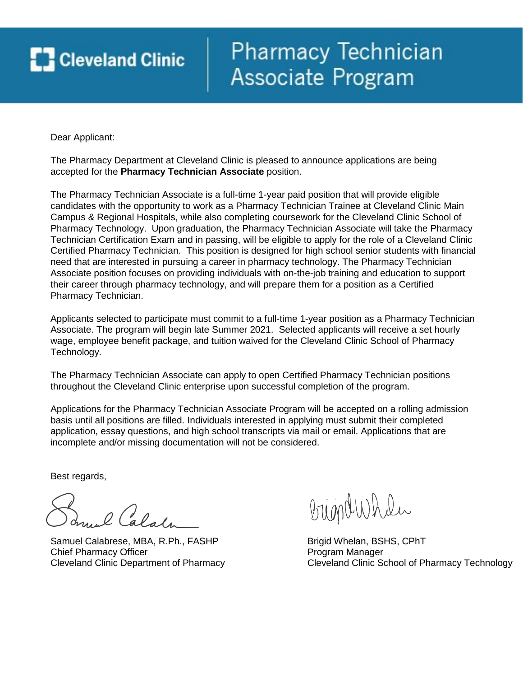# **Cleveland Clinic**

## Pharmacy Technician Associate Program

Dear Applicant:

The Pharmacy Department at Cleveland Clinic is pleased to announce applications are being accepted for the **Pharmacy Technician Associate** position.

The Pharmacy Technician Associate is a full-time 1-year paid position that will provide eligible candidates with the opportunity to work as a Pharmacy Technician Trainee at Cleveland Clinic Main Campus & Regional Hospitals, while also completing coursework for the Cleveland Clinic School of Pharmacy Technology. Upon graduation, the Pharmacy Technician Associate will take the Pharmacy Technician Certification Exam and in passing, will be eligible to apply for the role of a Cleveland Clinic Certified Pharmacy Technician. This position is designed for high school senior students with financial need that are interested in pursuing a career in pharmacy technology. The Pharmacy Technician Associate position focuses on providing individuals with on-the-job training and education to support their career through pharmacy technology, and will prepare them for a position as a Certified Pharmacy Technician.

Applicants selected to participate must commit to a full-time 1-year position as a Pharmacy Technician Associate. The program will begin late Summer 2021. Selected applicants will receive a set hourly wage, employee benefit package, and tuition waived for the Cleveland Clinic School of Pharmacy Technology.

The Pharmacy Technician Associate can apply to open Certified Pharmacy Technician positions throughout the Cleveland Clinic enterprise upon successful completion of the program.

Applications for the Pharmacy Technician Associate Program will be accepted on a rolling admission basis until all positions are filled. Individuals interested in applying must submit their completed application, essay questions, and high school transcripts via mail or email. Applications that are incomplete and/or missing documentation will not be considered.

Best regards,

l Calale

Samuel Calabrese, MBA, R.Ph., FASHP Brigid Whelan, BSHS, CPhT Chief Pharmacy Officer **Program Manager** Program Manager

BugndWhile

Cleveland Clinic Department of Pharmacy Cleveland Clinic School of Pharmacy Technology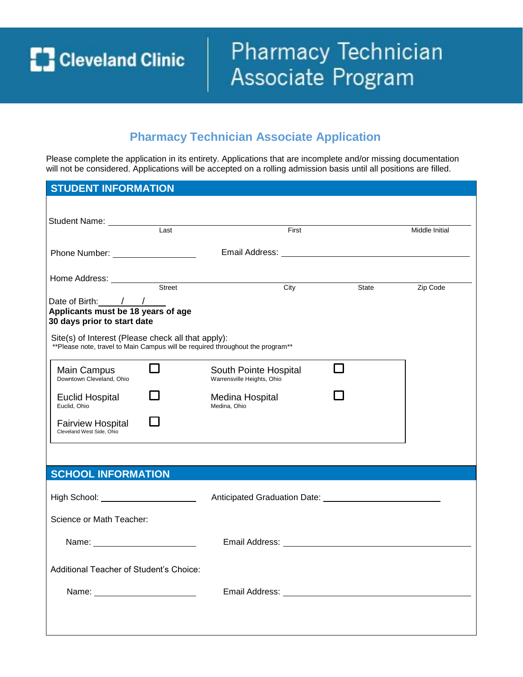**C** Cleveland Clinic

## Pharmacy Technician Associate Program

### **Pharmacy Technician Associate Application**

Please complete the application in its entirety. Applications that are incomplete and/or missing documentation will not be considered. Applications will be accepted on a rolling admission basis until all positions are filled.

| <b>STUDENT INFORMATION</b>                                                                                                           |                                 |                                                                                                                 |       |                                                                                                                                                                                                                                |
|--------------------------------------------------------------------------------------------------------------------------------------|---------------------------------|-----------------------------------------------------------------------------------------------------------------|-------|--------------------------------------------------------------------------------------------------------------------------------------------------------------------------------------------------------------------------------|
|                                                                                                                                      |                                 |                                                                                                                 |       |                                                                                                                                                                                                                                |
|                                                                                                                                      |                                 |                                                                                                                 |       |                                                                                                                                                                                                                                |
| Student Name: Last                                                                                                                   |                                 | First                                                                                                           |       | Middle Initial                                                                                                                                                                                                                 |
| Phone Number: ____________________                                                                                                   |                                 |                                                                                                                 |       |                                                                                                                                                                                                                                |
|                                                                                                                                      |                                 |                                                                                                                 |       |                                                                                                                                                                                                                                |
| Home Address: <u>Street Street Street</u>                                                                                            |                                 |                                                                                                                 |       |                                                                                                                                                                                                                                |
|                                                                                                                                      |                                 | City                                                                                                            | State | Zip Code                                                                                                                                                                                                                       |
| Date of Birth: / /<br>Applicants must be 18 years of age<br>30 days prior to start date                                              |                                 |                                                                                                                 |       |                                                                                                                                                                                                                                |
| Site(s) of Interest (Please check all that apply):<br>**Please note, travel to Main Campus will be required throughout the program** |                                 |                                                                                                                 |       |                                                                                                                                                                                                                                |
| П<br>Main Campus<br>Downtown Cleveland, Ohio                                                                                         | Warrensville Heights, Ohio      | South Pointe Hospital                                                                                           |       |                                                                                                                                                                                                                                |
| <b>Euclid Hospital</b><br>Euclid. Ohio                                                                                               | Medina Hospital<br>Medina, Ohio |                                                                                                                 |       |                                                                                                                                                                                                                                |
| <b>Fairview Hospital</b><br>Cleveland West Side, Ohio                                                                                |                                 |                                                                                                                 |       |                                                                                                                                                                                                                                |
|                                                                                                                                      |                                 |                                                                                                                 |       |                                                                                                                                                                                                                                |
| <b>SCHOOL INFORMATION</b>                                                                                                            |                                 |                                                                                                                 |       |                                                                                                                                                                                                                                |
| High School: ______________________                                                                                                  |                                 |                                                                                                                 |       |                                                                                                                                                                                                                                |
| Science or Math Teacher:                                                                                                             |                                 |                                                                                                                 |       |                                                                                                                                                                                                                                |
| Name: Name:                                                                                                                          |                                 | Email Address: Universe Press Press Press Press Press Press Press Press Press Press Press Press Press Press Pre |       |                                                                                                                                                                                                                                |
| Additional Teacher of Student's Choice:                                                                                              |                                 |                                                                                                                 |       |                                                                                                                                                                                                                                |
| Name: Name:                                                                                                                          |                                 |                                                                                                                 |       | Email Address: University of the Contract of the Contract of the Contract of the Contract of the Contract of the Contract of the Contract of the Contract of the Contract of the Contract of the Contract of the Contract of t |
|                                                                                                                                      |                                 |                                                                                                                 |       |                                                                                                                                                                                                                                |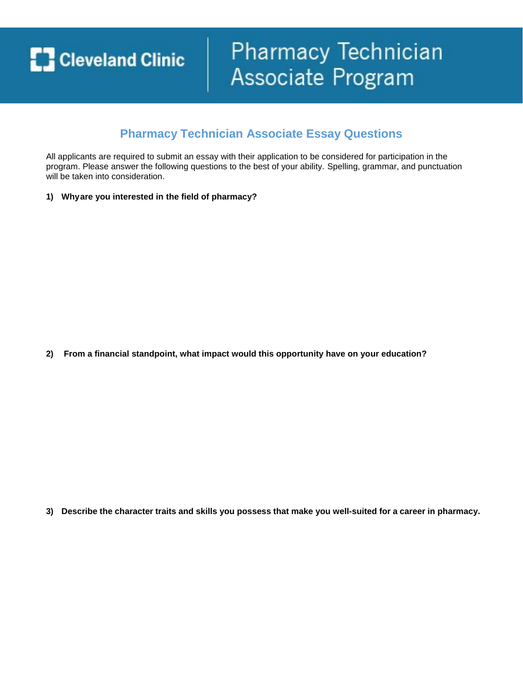**C** Cleveland Clinic

## **Pharmacy Technician** Associate Program

### **Pharmacy Technician Associate Essay Questions**

All applicants are required to submit an essay with their application to be considered for participation in the program. Please answer the following questions to the best of your ability. Spelling, grammar, and punctuation will be taken into consideration.

**1) Why are you interested in the field of pharmacy?**

**2) From a financial standpoint, what impact would this opportunity have on your education?**

**3) Describe the character traits and skills you possess that make you well-suited for a career in pharmacy.**